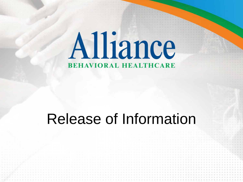# Alliance **BEHAVIORAL HEALTHCARE**

#### Release of Information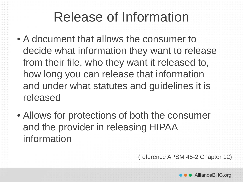- A document that allows the consumer to decide what information they want to release from their file, who they want it released to, how long you can release that information and under what statutes and guidelines it is released
- Allows for protections of both the consumer and the provider in releasing HIPAA information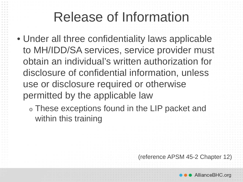• Under all three confidentiality laws applicable to MH/IDD/SA services, service provider must obtain an individual's written authorization for disclosure of confidential information, unless use or disclosure required or otherwise permitted by the applicable law

<sup>o</sup> These exceptions found in the LIP packet and within this training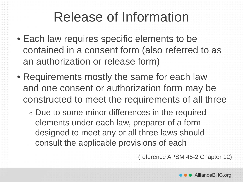- Each law requires specific elements to be contained in a consent form (also referred to as an authorization or release form)
- Requirements mostly the same for each law and one consent or authorization form may be constructed to meet the requirements of all three
	- <sup>o</sup> Due to some minor differences in the required elements under each law, preparer of a form designed to meet any or all three laws should consult the applicable provisions of each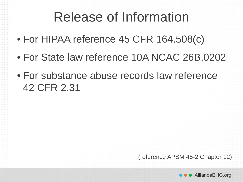- For HIPAA reference 45 CFR 164.508(c)
- For State law reference 10A NCAC 26B.0202
- For substance abuse records law reference 42 CFR 2.31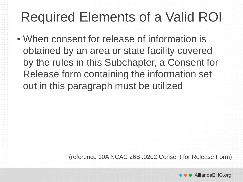• When consent for release of information is obtained by an area or state facility covered by the rules in this Subchapter, a Consent for Release form containing the information set out in this paragraph must be utilized

(reference 10A NCAC 26B .0202 Consent for Release Form)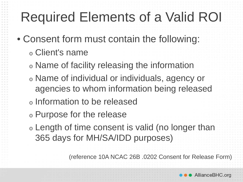• Consent form must contain the following:

- <sup>o</sup> Client's name
- <sup>o</sup> Name of facility releasing the information
- <sup>o</sup> Name of individual or individuals, agency or agencies to whom information being released
- <sup>o</sup> Information to be released
- <sup>o</sup> Purpose for the release
- <sup>o</sup> Length of time consent is valid (no longer than 365 days for MH/SA/IDD purposes)

(reference 10A NCAC 26B .0202 Consent for Release Form)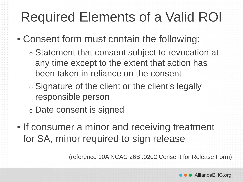- Consent form must contain the following:
	- <sup>o</sup> Statement that consent subject to revocation at any time except to the extent that action has been taken in reliance on the consent
	- <sup>o</sup> Signature of the client or the client's legally responsible person
	- <sup>o</sup> Date consent is signed
- If consumer a minor and receiving treatment for SA, minor required to sign release

(reference 10A NCAC 26B .0202 Consent for Release Form)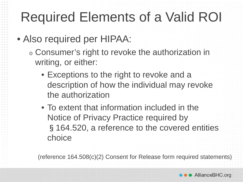- Also required per HIPAA:
	- <sup>o</sup> Consumer's right to revoke the authorization in writing, or either:
		- Exceptions to the right to revoke and a description of how the individual may revoke the authorization
		- To extent that information included in the Notice of Privacy Practice required by §164.520, a reference to the covered entities choice

(reference 164.508(c)(2) Consent for Release form required statements)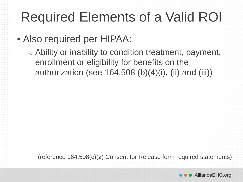• Also required per HIPAA:

<sup>o</sup> Ability or inability to condition treatment, payment, enrollment or eligibility for benefits on the authorization (see 164.508 (b)(4)(i), (ii) and (iii))

(reference 164.508(c)(2) Consent for Release form required statements)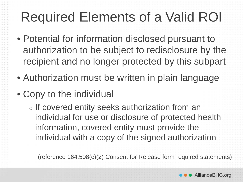- Potential for information disclosed pursuant to authorization to be subject to redisclosure by the recipient and no longer protected by this subpart
- Authorization must be written in plain language
- Copy to the individual

<sup>o</sup> If covered entity seeks authorization from an individual for use or disclosure of protected health information, covered entity must provide the individual with a copy of the signed authorization

(reference 164.508(c)(2) Consent for Release form required statements)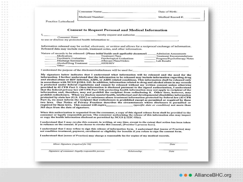|                                      |                                                                                                                                                                                                                                                                                                                                                                                                                                                                                                                                                                                                                                                                                                                                                                                                                                                                                                                                                                                                                                                                                                                                                             | Consumer Name: Date of Birth:                                            |
|--------------------------------------|-------------------------------------------------------------------------------------------------------------------------------------------------------------------------------------------------------------------------------------------------------------------------------------------------------------------------------------------------------------------------------------------------------------------------------------------------------------------------------------------------------------------------------------------------------------------------------------------------------------------------------------------------------------------------------------------------------------------------------------------------------------------------------------------------------------------------------------------------------------------------------------------------------------------------------------------------------------------------------------------------------------------------------------------------------------------------------------------------------------------------------------------------------------|--------------------------------------------------------------------------|
|                                      |                                                                                                                                                                                                                                                                                                                                                                                                                                                                                                                                                                                                                                                                                                                                                                                                                                                                                                                                                                                                                                                                                                                                                             | Medicaid Number: Medical Record #:                                       |
| Practice Letterhead                  |                                                                                                                                                                                                                                                                                                                                                                                                                                                                                                                                                                                                                                                                                                                                                                                                                                                                                                                                                                                                                                                                                                                                                             |                                                                          |
|                                      |                                                                                                                                                                                                                                                                                                                                                                                                                                                                                                                                                                                                                                                                                                                                                                                                                                                                                                                                                                                                                                                                                                                                                             |                                                                          |
|                                      | <b>Consent to Request Personal and Medical Information</b>                                                                                                                                                                                                                                                                                                                                                                                                                                                                                                                                                                                                                                                                                                                                                                                                                                                                                                                                                                                                                                                                                                  |                                                                          |
|                                      | Nonsumer Name hereby request and authorize                                                                                                                                                                                                                                                                                                                                                                                                                                                                                                                                                                                                                                                                                                                                                                                                                                                                                                                                                                                                                                                                                                                  |                                                                          |
|                                      | to use or disclose my protected health information to <b>contain the container of the container</b>                                                                                                                                                                                                                                                                                                                                                                                                                                                                                                                                                                                                                                                                                                                                                                                                                                                                                                                                                                                                                                                         |                                                                          |
|                                      | Information released may be verbal, electronic, or written and allows for a reciprocal exchange of information.<br>Released data may include records, treatment notes, and other information.                                                                                                                                                                                                                                                                                                                                                                                                                                                                                                                                                                                                                                                                                                                                                                                                                                                                                                                                                               |                                                                          |
| Other: Other:                        | Nature of records to be released: (Please initial beside each applicable document) ______ Admission Assessments<br>Medications Treatment Plans<br>Psychiatric Evaluations Psychological Evaluations                                                                                                                                                                                                                                                                                                                                                                                                                                                                                                                                                                                                                                                                                                                                                                                                                                                                                                                                                         | Treatment Recommendations<br>Progress/Psychotherapy Notes<br>Lab Results |
|                                      | I understand the purpose of the disclosure/redisclosure will be used for:                                                                                                                                                                                                                                                                                                                                                                                                                                                                                                                                                                                                                                                                                                                                                                                                                                                                                                                                                                                                                                                                                   |                                                                          |
|                                      | information. I further understand that the information to be released may include information regarding drug<br>and alcohol abuse or HIV infection, AIDS, or AIDS related conditions. This information shall be released only<br>in accordance with NCGS §130A-143. In addition, information related to drug and alcohol abuse in my records<br>is protected under federal regulations and cannot be released without my written consent unless otherwise<br>provided in 42 CFR Part 2. Once information is disclosed pursuant to the signed authorization, I understand<br>that the federal privacy law (45 CFR Part 164) protecting health information may not apply to recipient of the<br>information and, therefore, may not prohibit the recipient from redisclosing it. Other laws, however, may<br>prohibit redisclosure. When we disclose mental health, intellectual and developmental disabilities information<br>protected by state law (G.S. 122C) or substance abuse treatment information protected by federal law (42 CFR<br>Part 2), we must inform the recipient that redisclosure is prohibited except as permitted or required by these |                                                                          |
| 365 days from the date of signature. | two laws. Our Notice of Privacy Practices describes the circumstances where disclosure is permitted or                                                                                                                                                                                                                                                                                                                                                                                                                                                                                                                                                                                                                                                                                                                                                                                                                                                                                                                                                                                                                                                      |                                                                          |
|                                      | When this authorization is requested from the consumer, a copy of this signed release form shall be provided to the<br>consumer or legally responsible person. The consumer authorizing the release of this information also may inspect<br>or copy the health information disclosed as permitted by NCGS § 122C-53(c).                                                                                                                                                                                                                                                                                                                                                                                                                                                                                                                                                                                                                                                                                                                                                                                                                                     |                                                                          |
|                                      | I understand that I may revoke this consent, in writing, at any time, except to the extent that action has been taken<br>in reliance on the consent. If you choose to revoke this consent, [Practice's process here].                                                                                                                                                                                                                                                                                                                                                                                                                                                                                                                                                                                                                                                                                                                                                                                                                                                                                                                                       |                                                                          |
|                                      | I understand that I may refuse to sign this release of information form. I understand that [name of Practice] may<br>not condition treatment, payment, enrollment or eligibility for benefits if you refuse to sign the consent form.                                                                                                                                                                                                                                                                                                                                                                                                                                                                                                                                                                                                                                                                                                                                                                                                                                                                                                                       |                                                                          |
|                                      | I understand that [name of Practice] may charge a reasonable fee for copies of my medical records.                                                                                                                                                                                                                                                                                                                                                                                                                                                                                                                                                                                                                                                                                                                                                                                                                                                                                                                                                                                                                                                          |                                                                          |
| Minor Signature (required for SA)    |                                                                                                                                                                                                                                                                                                                                                                                                                                                                                                                                                                                                                                                                                                                                                                                                                                                                                                                                                                                                                                                                                                                                                             | Date                                                                     |

Signature of consumer /legally responsible person

 $1.4 - 1$  $-1.1$  $0.0011$  $8.44 - 8$  $4.16 - 10$ ana la **ALCOHOL:**  $8 - 9 - 9$  $0.14 - 10.1$  $0.0 - 0.$  $(1 - 1) - 1$  $4.8.8$  $1.4 - 0.$  $(1, 1, 0) = 0$  $(1, 1, 1)$  $41 - 49 = 16$  $0.101 - 0.$  $(1 - 1) - 1$  $1.8.8$  $0.10 - 0.00$  $-1.4 - 1.$  $17.2 - 10.2$  $1.4.1$  $1.14 - 1.0$  $-0.76$  $1.1.1$  $0.9.9$  $1.111$  $1 - 4 - 1$  $1.4.1$  $1.1.1$  $10 - 10 = 10$  $4.14 - 4.1$  $8 - 8 - 9$  $1.4.4$  $4.18.18$ 大きさ  $-1.1$  $-1 - 1$  $4.78 - 8$  $4.3.4$  $-1.1$  $8.18.18$  $1 - 1 - 1$ 

Relationship

Date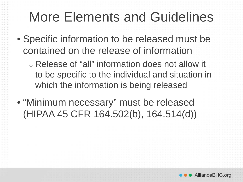### More Elements and Guidelines

- Specific information to be released must be contained on the release of information
	- <sup>o</sup> Release of "all" information does not allow it to be specific to the individual and situation in which the information is being released
- "Minimum necessary" must be released (HIPAA 45 CFR 164.502(b), 164.514(d))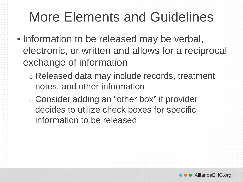## More Elements and Guidelines

- Information to be released may be verbal, electronic, or written and allows for a reciprocal exchange of information
	- <sup>o</sup> Released data may include records, treatment notes, and other information
	- <sup>o</sup> Consider adding an "other box" if provider decides to utilize check boxes for specific information to be released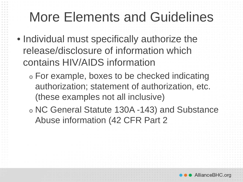### More Elements and Guidelines

- Individual must specifically authorize the release/disclosure of information which contains HIV/AIDS information
	- <sup>o</sup> For example, boxes to be checked indicating authorization; statement of authorization, etc. (these examples not all inclusive)
	- <sup>o</sup> NC General Statute 130A -143) and Substance Abuse information (42 CFR Part 2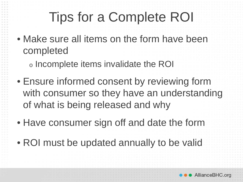# Tips for a Complete ROI

• Make sure all items on the form have been completed

<sup>o</sup> Incomplete items invalidate the ROI

- Ensure informed consent by reviewing form with consumer so they have an understanding of what is being released and why
- Have consumer sign off and date the form
- ROI must be updated annually to be valid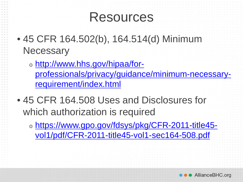#### Resources

- 45 CFR 164.502(b), 164.514(d) Minimum **Necessary** 
	- <sup>o</sup> http://www.hhs.gov/hipaa/for[professionals/privacy/guidance/minimum-necessary](http://www.hhs.gov/hipaa/for-professionals/privacy/guidance/minimum-necessary-requirement/index.html)requirement/index.html
- 45 CFR 164.508 Uses and Disclosures for which authorization is required
	- <sup>o</sup> [https://www.gpo.gov/fdsys/pkg/CFR-2011-title45](https://www.gpo.gov/fdsys/pkg/CFR-2011-title45-vol1/pdf/CFR-2011-title45-vol1-sec164-508.pdf) vol1/pdf/CFR-2011-title45-vol1-sec164-508.pdf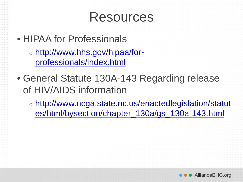#### Resources

• HIPAA for Professionals

- <sup>o</sup> [http://www.hhs.gov/hipaa/for](http://www.hhs.gov/hipaa/for-professionals/index.html)professionals/index.html
- General Statute 130A-143 Regarding release of HIV/AIDS information
	- <sup>o</sup> [http://www.ncga.state.nc.us/enactedlegislation/statut](http://www.ncga.state.nc.us/enactedlegislation/statutes/html/bysection/chapter_130a/gs_130a-143.html) es/html/bysection/chapter\_130a/gs\_130a-143.html